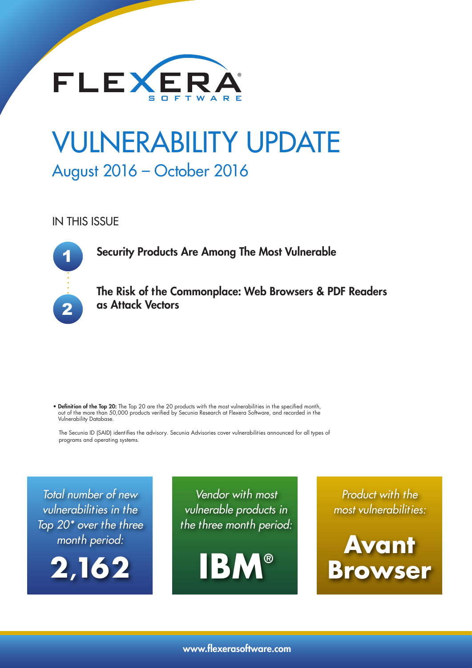

# VULNERABILITY UPDATE August 2016 – October 2016

IN THIS ISSUE

1 2

Security Products Are Among The Most Vulnerable

The Risk of the Commonplace: Web Browsers & PDF Readers as Attack Vectors

• Definition of the Top 20: The Top 20 are the 20 products with the most vulnerabilities in the specified month, out of the more than 50,000 products verified by Secunia Research at Flexera Software, and recorded in the Vulnerability Database.

The Secunia ID (SAID) identifies the advisory. Secunia Advisories cover vulnerabilities announced for all types of programs and operating systems.

Total number of new vulnerabilities in the Top 20\* over the three month period:



Vendor with most vulnerable products in the three month period:



Product with the most vulnerabilities:

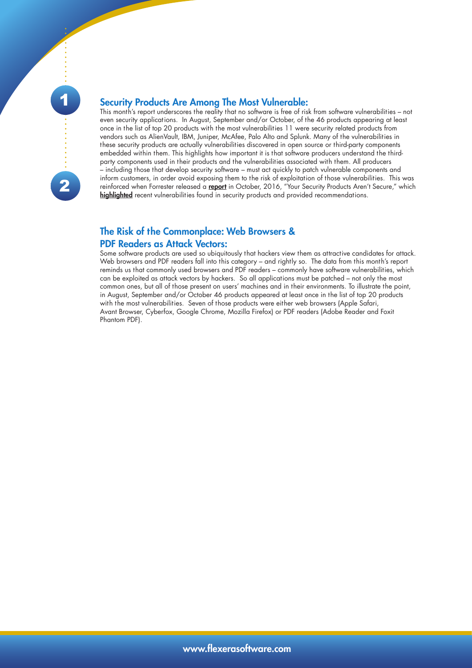

### Security Products Are Among The Most Vulnerable:

This month's report underscores the reality that no software is free of risk from software vulnerabilities – not even security applications. In August, September and/or October, of the 46 products appearing at least once in the list of top 20 products with the most vulnerabilities 11 were security related products from vendors such as AlienVault, IBM, Juniper, McAfee, Palo Alto and Splunk. Many of the vulnerabilities in these security products are actually vulnerabilities discovered in open source or third-party components embedded within them. This highlights how important it is that software producers understand the thirdparty components used in their products and the vulnerabilities associated with them. All producers – including those that develop security software – must act quickly to patch vulnerable components and inform customers, in order avoid exposing them to the risk of exploitation of those vulnerabilities. This was reinforced when Forrester released a [report](https://www.forrester.com/report/Your+Security+Products+Arent+Secure/-/E-RES131522?objectid=RES131522) in October, 2016, "Your Security Products Aren't Secure," which [highlighted](https://twitter.com/gtheriault/status/783394049818591232) recent vulnerabilities found in security products and provided recommendations.

### The Risk of the Commonplace: Web Browsers &

#### PDF Readers as Attack Vectors:

Some software products are used so ubiquitously that hackers view them as attractive candidates for attack. Web browsers and PDF readers fall into this category – and rightly so. The data from this month's report reminds us that commonly used browsers and PDF readers – commonly have software vulnerabilities, which can be exploited as attack vectors by hackers. So all applications must be patched – not only the most common ones, but all of those present on users' machines and in their environments. To illustrate the point, in August, September and/or October 46 products appeared at least once in the list of top 20 products with the most vulnerabilities. Seven of those products were either web browsers (Apple Safari, Avant Browser, Cyberfox, Google Chrome, Mozilla Firefox) or PDF readers (Adobe Reader and Foxit Phantom PDF).